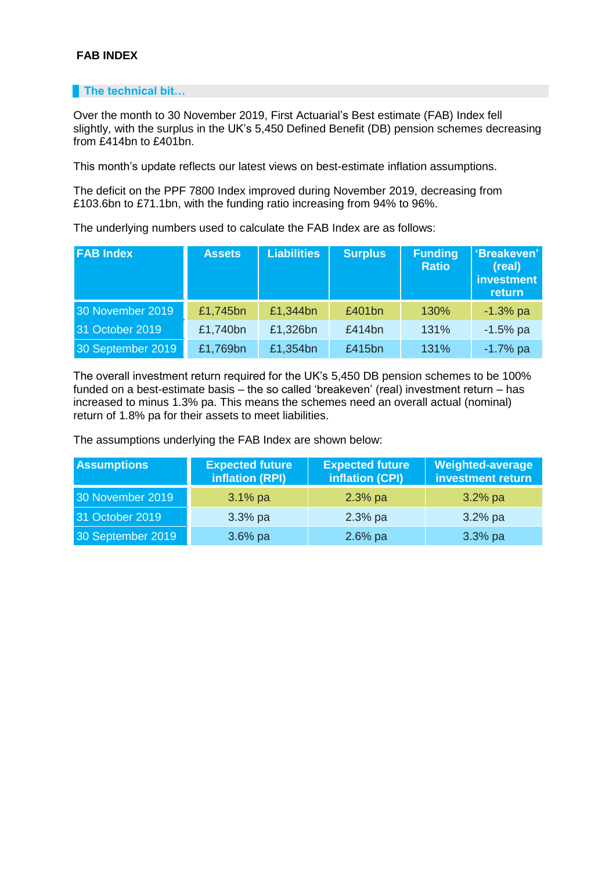## **FAB INDEX**

## **The technical bit…**

Over the month to 30 November 2019, First Actuarial's Best estimate (FAB) Index fell slightly, with the surplus in the UK's 5,450 Defined Benefit (DB) pension schemes decreasing from £414bn to £401bn.

This month's update reflects our latest views on best-estimate inflation assumptions.

The deficit on the PPF 7800 Index improved during November 2019, decreasing from £103.6bn to £71.1bn, with the funding ratio increasing from 94% to 96%.

The underlying numbers used to calculate the FAB Index are as follows:

| <b>FAB Index</b>  | <b>Assets</b> | <b>Liabilities</b> | <b>Surplus</b> | <b>Funding</b><br><b>Ratio</b> | 'Breakeven'<br>(real)<br><b>investment</b><br>return |
|-------------------|---------------|--------------------|----------------|--------------------------------|------------------------------------------------------|
| 30 November 2019  | £1,745bn      | £1,344bn           | £401bn         | 130%                           | $-1.3%$ pa                                           |
| 31 October 2019   | £1,740bn      | £1,326bn           | £414bn         | 131%                           | $-1.5%$ pa                                           |
| 30 September 2019 | £1,769bn      | £1,354bn           | £415bn         | 131%                           | $-1.7%$ pa                                           |

The overall investment return required for the UK's 5,450 DB pension schemes to be 100% funded on a best-estimate basis – the so called 'breakeven' (real) investment return – has increased to minus 1.3% pa. This means the schemes need an overall actual (nominal) return of 1.8% pa for their assets to meet liabilities.

The assumptions underlying the FAB Index are shown below:

| <b>Assumptions</b> | <b>Expected future</b><br>inflation (RPI) | <b>Expected future</b><br>inflation (CPI) | <b>Weighted-average</b><br>investment return |
|--------------------|-------------------------------------------|-------------------------------------------|----------------------------------------------|
| 30 November 2019   | $3.1\%$ pa                                | $2.3%$ pa                                 | $3.2%$ pa                                    |
| 31 October 2019    | $3.3%$ pa                                 | $2.3%$ pa                                 | $3.2%$ pa                                    |
| 30 September 2019  | $3.6\%$ pa                                | $2.6%$ pa                                 | $3.3%$ pa                                    |